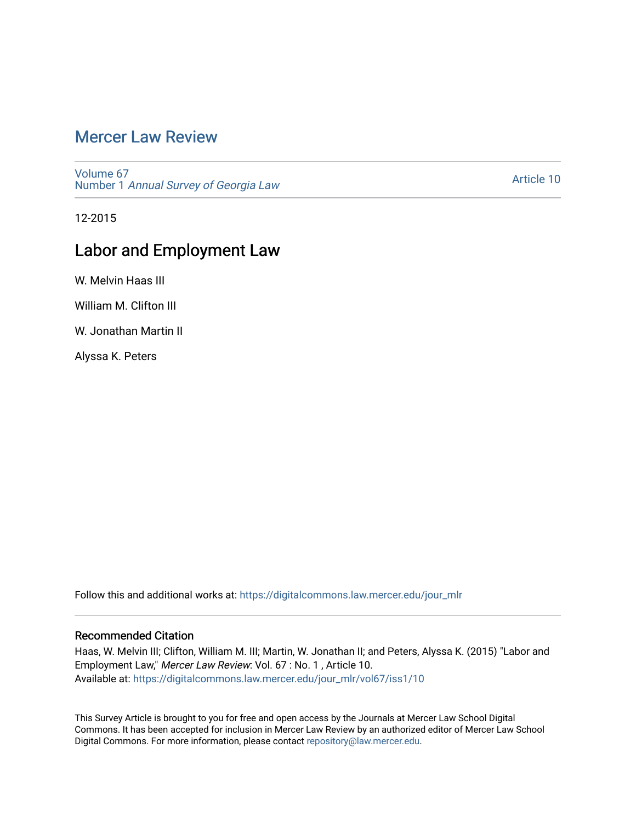# [Mercer Law Review](https://digitalcommons.law.mercer.edu/jour_mlr)

[Volume 67](https://digitalcommons.law.mercer.edu/jour_mlr/vol67) Number 1 [Annual Survey of Georgia Law](https://digitalcommons.law.mercer.edu/jour_mlr/vol67/iss1) 

[Article 10](https://digitalcommons.law.mercer.edu/jour_mlr/vol67/iss1/10) 

12-2015

## Labor and Employment Law

W. Melvin Haas III

William M. Clifton III

W. Jonathan Martin II

Alyssa K. Peters

Follow this and additional works at: [https://digitalcommons.law.mercer.edu/jour\\_mlr](https://digitalcommons.law.mercer.edu/jour_mlr?utm_source=digitalcommons.law.mercer.edu%2Fjour_mlr%2Fvol67%2Fiss1%2F10&utm_medium=PDF&utm_campaign=PDFCoverPages)

## Recommended Citation

Haas, W. Melvin III; Clifton, William M. III; Martin, W. Jonathan II; and Peters, Alyssa K. (2015) "Labor and Employment Law," Mercer Law Review: Vol. 67 : No. 1 , Article 10. Available at: [https://digitalcommons.law.mercer.edu/jour\\_mlr/vol67/iss1/10](https://digitalcommons.law.mercer.edu/jour_mlr/vol67/iss1/10?utm_source=digitalcommons.law.mercer.edu%2Fjour_mlr%2Fvol67%2Fiss1%2F10&utm_medium=PDF&utm_campaign=PDFCoverPages) 

This Survey Article is brought to you for free and open access by the Journals at Mercer Law School Digital Commons. It has been accepted for inclusion in Mercer Law Review by an authorized editor of Mercer Law School Digital Commons. For more information, please contact [repository@law.mercer.edu](mailto:repository@law.mercer.edu).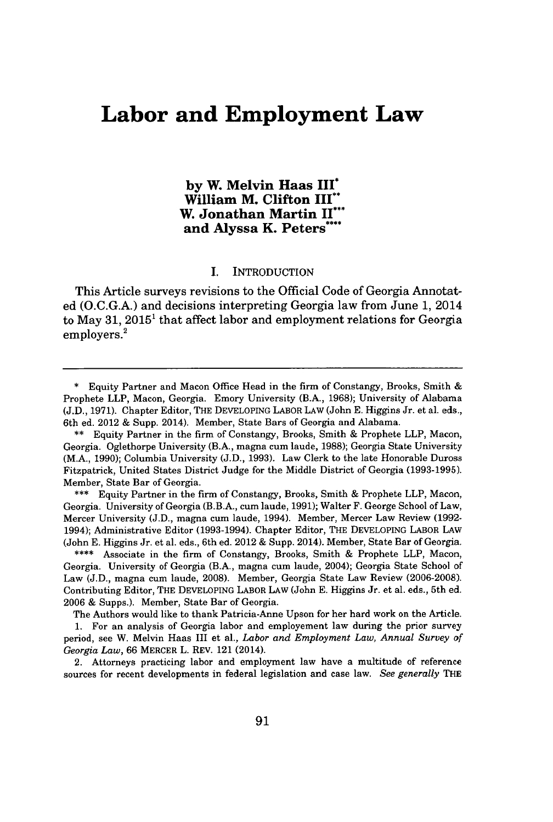## **Labor and Employment Law**

**by W. Melvin Haas** III\* **William M. Clifton III\*\* W. Jonathan Martin** II'\* **and Alyssa K.** Peters\*

### **I.** INTRODUCTION

This Article surveys revisions to the Official Code of Georgia Annotated **(O.C.G.A.)** and decisions interpreting Georgia law from June **1,** 2014 to May **31, 2015'** that affect labor and employment relations for Georgia employers.<sup>2</sup>

**\*\*\*** Equity Partner in the firm of Constangy, Brooks, Smith **&** Prophete LLP, Macon, Georgia. University of Georgia (B.B.A., cum laude, **1991);** Walter F. George School of Law, Mercer University **(J.D.,** magna cum laude, 1994). Member, Mercer Law Review **(1992-** 1994); Administrative Editor **(1993-1994).** Chapter Editor, THE DEVELOPING LABOR LAW (John **E.** Higgins Jr. et al. eds., 6th ed. 2012 **&** Supp. 2014). Member, State Bar of Georgia.

**\*\*\*\*** Associate in the firm of Constangy, Brooks, Smith **&** Prophete LLP, Macon, Georgia. University of Georgia (B.A., magna cum laude, 2004); Georgia State School of Law **(J.D.,** magna cum laude, **2008).** Member, Georgia State Law Review **(2006-2008).** Contributing Editor, THE **DEVELOPING** LABOR **LAW** (John **E.** Higgins Jr. et al. eds., 5th ed. **2006 &** Supps.). Member, State Bar of Georgia.

The Authors would like to thank Patricia-Anne Upson for her hard work on the Article. **1.** For an analysis of Georgia labor and employement law during the prior survey period, see W. Melvin Haas III et al., *Labor and Employment Law, Annual Survey of Georgia Law,* **66** MERCER L. REV. 121 (2014).

2. Attorneys practicing labor and employment law have a multitude of reference sources for recent developments in federal legislation and case law. *See generally* THE

**<sup>\*</sup>** Equity Partner and Macon Office Head in the firm of Constangy, Brooks, Smith Prophete LLP, Macon, Georgia. Emory University (B.A., **1968);** University of Alabama **(J.D., 1971).** Chapter Editor, THE DEVELOPING LABOR LAW (John **E.** Higgins Jr. et al. eds., 6th ed. 2012 **&** Supp. 2014). Member, State Bars of Georgia and Alabama.

**<sup>\*\*</sup>** Equity Partner in the firm of Constangy, Brooks, Smith **&** Prophete LLP, Macon, Georgia. Oglethorpe University (B.A., magna cum laude, **1988);** Georgia State University (M.A., **1990);** Columbia University **(J.D., 1993).** Law Clerk to the late Honorable Duross Fitzpatrick, United States District Judge for the Middle District of Georgia **(1993-1995).** Member, State Bar of Georgia.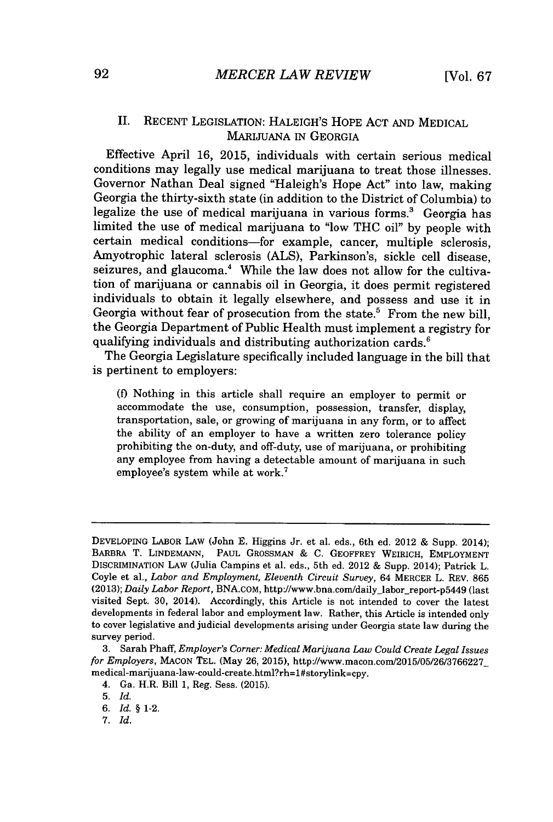Effective April **16, 2015,** individuals with certain serious medical conditions may legally use medical marijuana to treat those illnesses. Governor Nathan Deal signed "Haleigh's Hope Act" into law, making Georgia the thirty-sixth state (in addition to the District of Columbia) to legalize the use of medical marijuana in various forms.' Georgia has limited the use of medical marijuana to "low **THC** oil" **by** people with certain medical conditions-for example, cancer, multiple sclerosis, Amyotrophic lateral sclerosis **(ALS),** Parkinson's, sickle cell disease, seizures, and glaucoma.<sup>4</sup> While the law does not allow for the cultivation of marijuana or cannabis oil in Georgia, it does permit registered individuals to obtain it legally elsewhere, and possess and use it in Georgia without fear of prosecution from the state.<sup>5</sup> From the new bill, the Georgia Department of Public Health must implement a registry for qualifying individuals and distributing authorization cards.<sup>6</sup>

The Georgia Legislature specifically included language in the bill that is pertinent to employers:

**(f)** Nothing in this article shall require an employer to permit or accommodate the use, consumption, possession, transfer, display, transportation, sale, or growing of marijuana in any form, or to affect the ability of an employer to have a written zero tolerance policy prohibiting the on-duty, and off-duty, use of marijuana, or prohibiting any employee from having a detectable amount of marijuana in such employee's system while at work.'

DEVELOPING LABOR LAw (John **E.** Higgins Jr. et al. eds., 6th ed. 2012 **&** Supp. 2014); BARBRA T. **LINDEMANN, PAUL GROSSMAN & C.** GEOFFREY WEIRICH, EMPLOYMENT DISCRIMINATION LAw (Julia Campins et al. eds., 5th ed. 2012 **&** Supp. 2014); Patrick L. Coyle et al., *Labor and Employment, Eleventh Circuit Survey,* 64 MERCER L. REV. **865 (2013);** *Daily Labor Report,* BNA.coM, http://www.bna.com/daily labor-report-p5449 (last visited Sept. **30,** 2014). Accordingly, this Article is not intended to cover the latest developments in federal labor and employment law. Rather, this Article is intended only to cover legislative and judicial developments arising under Georgia state law during the survey period.

**<sup>3.</sup>** Sarah Phaff, *Employer's Corner: Medical Marijuana Law Could Create Legal Issues for Employers,* **MACON** TEL. (May **26, 2015),** http://www.macon.com/2015/05/26/3766227 medical-marijuana-law-could-create.html?rh=1#storylink=cpy.

<sup>4.</sup> Ga. H.R. Bill **1,** Reg. Sess. **(2015).**

**<sup>5.</sup>** *Id.*

*<sup>6.</sup> Id. §* 1-2.

*<sup>7.</sup> Id.*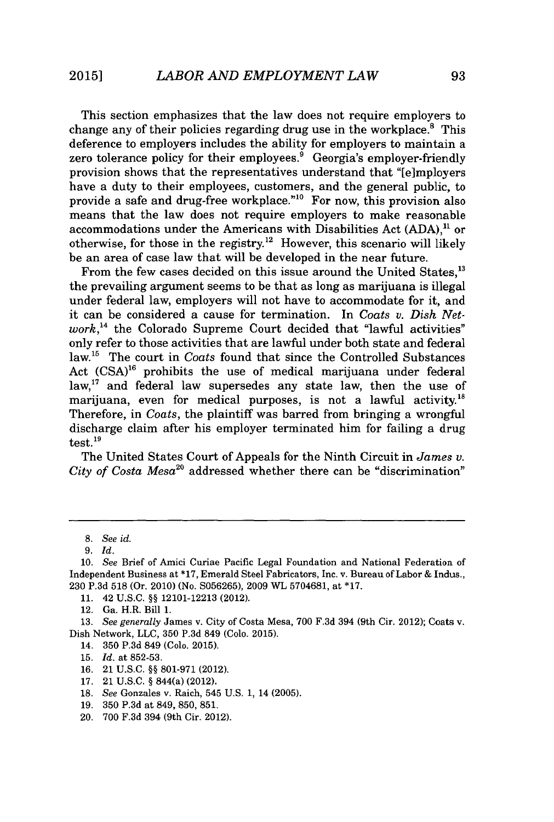This section emphasizes that the law does not require employers to change any of their policies regarding drug use in the workplace. $8$  This deference to employers includes the ability for employers to maintain a zero tolerance policy for their employees.<sup>9</sup> Georgia's employer-friendly provision shows that the representatives understand that "[e]mployers have a duty to their employees, customers, and the general public, to provide a safe and drug-free workplace."<sup>10</sup> For now, this provision also means that the law does not require employers to make reasonable accommodations under the Americans with Disabilities Act **(ADA),"** or otherwise, for those in the registry.<sup>12</sup> However, this scenario will likely be an area of case law that will be developed in the near future.

From the few cases decided on this issue around the United States.<sup>13</sup> the prevailing argument seems to be that as long as marijuana is illegal under federal law, employers will not have to accommodate for it, and it can be considered a cause for termination. In *Coats v. Dish Network,'<sup>4</sup>*the Colorado Supreme Court decided that "lawful activities" only refer to those activities that are lawful under both state and federal law.<sup>15</sup> The court in *Coats* found that since the Controlled Substances Act  $(CSA)^{16}$  prohibits the use of medical marijuana under federal  $law<sub>1</sub><sup>17</sup>$  and federal law supersedes any state law, then the use of marijuana, even for medical purposes, is not a lawful activity.<sup>18</sup> Therefore, in *Coats,* the plaintiff was barred from bringing a wrongful discharge claim after his employer terminated him for failing a drug  $test.<sup>19</sup>$ 

The United States Court of Appeals for the Ninth Circuit in *James v. City of Costa Mesa2<sup>0</sup>*addressed whether there can be "discrimination"

**11.** 42 **U.S.C. §§ 12101-12213** (2012).

- 14. **350 P.3d** 849 (Colo. **2015).**
- **15.** *Id.* at **852-53.**
- **16.** 21 **U.S.C. §§ 801-971** (2012).
- **17.** 21 **U.S.C. §** 844(a) (2012).
- **18.** See Gonzales v. Raich, 545 **U.S. 1,** 14 **(2005).**
- **19. 350 P.3d** at 849, **850, 851.**
- 20. **700 F.3d** 394 (9th Cir. 2012).

**<sup>8.</sup>** See *id.*

**<sup>9.</sup>** *Id.*

*<sup>10.</sup> See* Brief of Amici Curiae Pacific Legal Foundation and National Federation of Independent Business at **\*17,** Emerald Steel Fabricators, Inc. v. Bureau of Labor **&** Indus., **230 P.3d 518** (Or. 2010) (No. **S056265), 2009** WL **5704681,** at **\*17.**

<sup>12.</sup> Ga. H.R. Bill **1.**

*<sup>13.</sup> See generally* James v. City of Costa Mesa, **700 F.3d** 394 (9th Cir. 2012); Coats v. Dish Network, **LLC, 350 P.3d** 849 (Colo. **2015).**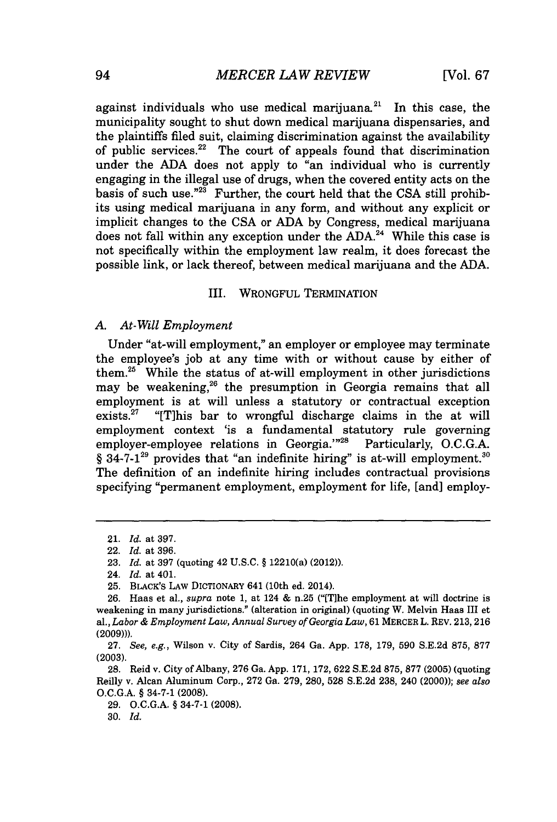against individuals who use medical marijuana.<sup>21</sup> In this case, the municipality sought to shut down medical marijuana dispensaries, and the plaintiffs filed suit, claiming discrimination against the availability of public services.<sup>22</sup> The court of appeals found that discrimination under the **ADA** does not apply to "an individual who is currently engaging in the illegal use of drugs, when the covered entity acts on the basis of such use."<sup>23</sup> Further, the court held that the CSA still prohibits using medical marijuana in any form, and without any explicit or implicit changes to the **CSA** or **ADA by** Congress, medical marijuana does not fall within any exception under the **ADA.<sup>2</sup> <sup>4</sup>**While this case is not specifically within the employment law realm, it does forecast the possible link, or lack thereof, between medical marijuana and the **ADA.**

#### III. WRONGFUL TERMINATION

### *A. At-Will Employment*

Under "at-will employment," an employer or employee may terminate the employee's **job** at any time with or without cause **by** either of them. $25$  While the status of at-will employment in other jurisdictions may be weakening,<sup>26</sup> the presumption in Georgia remains that all employment is at will unless a statutory or contractual exception exists.<sup>27</sup> "[T] this bar to wrongful discharge claims in the at will "[T]his bar to wrongful discharge claims in the at will employment context 'is a fundamental statutory rule governing employer-employee relations in Georgia."<sup>28</sup> Particularly, O.C.G.A. § 34-7-1<sup>29</sup> provides that "an indefinite hiring" is at-will employment.<sup>30</sup> The definition of an indefinite hiring includes contractual provisions specifying "permanent employment, employment for life, [and] employ-

**30.** *Id.*

<sup>21.</sup> *Id.* at **397.**

<sup>22.</sup> *Id.* at **396.**

**<sup>23.</sup>** *Id.* at **397** (quoting 42 **U.S.C. §** 12210(a) (2012)).

<sup>24.</sup> *Id.* at 401.

**<sup>25.</sup>** BLACK'S LAW DICTIONARY 641 (10th ed. 2014).

**<sup>26.</sup>** Haas et al., *supra* note **1,** at 124 **&** n.25 ("(T]he employment at will doctrine is weakening in many jurisdictions." (alteration in original) (quoting W. Melvin Haas III et al., *Labor & Employment Law, Annual Survey of Georgia Law,* **61** MERCER L. REV. **213,216 (2009))).**

**<sup>27.</sup>** See, e.g., Wilson v. City of Sardis, 264 Ga. **App. 178, 179, 590 S.E.2d 875, 877 (2003).**

**<sup>28.</sup>** Reid v. City of Albany, **276** Ga. **App. 171, 172, 622 S.E.2d 875, 877 (2005)** (quoting Reilly v. Alcan Aluminum Corp., **272** Ga. **279, 280, 528 S.E.2d 238,** 240 (2000)); *see also* **O.C.G.A. §** 34-7-1 **(2008).**

**<sup>29.</sup> O.C.G.A. §** 34-7-1 **(2008).**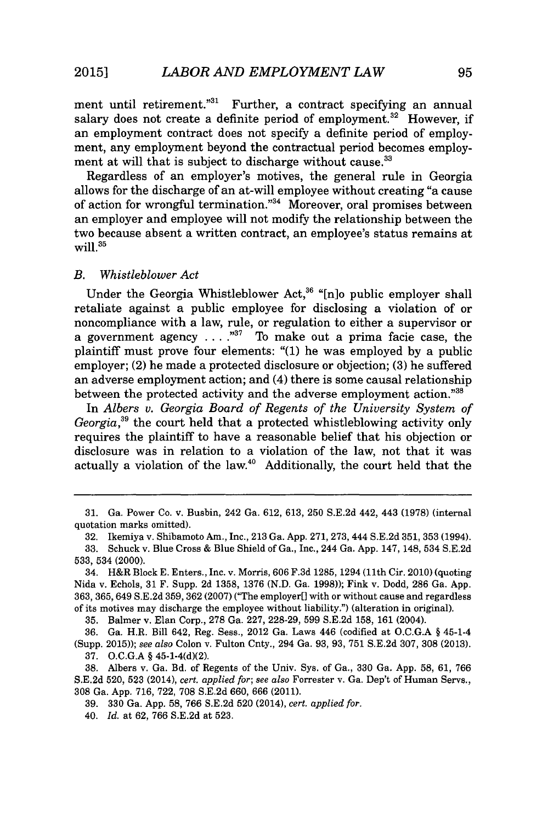ment until retirement."<sup>31</sup> Further, a contract specifying an annual salary does not create a definite period of employment.<sup>32</sup> However, if an employment contract does not specify a definite period of employment, any employment beyond the contractual period becomes employment at will that is subject to discharge without cause.<sup>33</sup>

Regardless of an employer's motives, the general rule in Georgia allows for the discharge of an at-will employee without creating "a cause of action for wrongful termination."<sup>34</sup> Moreover, oral promises between an employer and employee will not modify the relationship between the two because absent a written contract, an employee's status remains at will. $35$ 

### *B. Whistleblower Act*

Under the Georgia Whistleblower Act,<sup>36</sup> "[n]o public employer shall retaliate against a public employee for disclosing a violation of or noncompliance with a law, rule, or regulation to either a supervisor or a government agency **. . . .""** To make out a prima facie case, the plaintiff must prove four elements: "(1) he was employed **by** a public employer; (2) he made a protected disclosure or objection; **(3)** he suffered an adverse employment action; and (4) there is some causal relationship between the protected activity and the adverse employment action."<sup>38</sup>

In *Albers v. Georgia Board of Regents of the University System of Georgia*,<sup>39</sup> the court held that a protected whistleblowing activity only requires the plaintiff to have a reasonable belief that his objection or disclosure was in relation to a violation of the law, not that it was actually a violation of the law. $40$  Additionally, the court held that the

**35.** Balmer v. Elan Corp., **278** Ga. **227, 228-29, 599 S.E.2d 158, 161** (2004).

**36.** Ga. H.R. Bill 642, Reg. Sess., 2012 Ga. Laws 446 (codified at **O.C.G.A §** 45-1-4 (Supp. **2015));** *see also* Colon v. Fulton Cnty., 294 Ga. **93, 93, 751 S.E.2d 307, 308 (2013).**

**37. O.C.G.A §** 45-1-4(d)(2).

**38.** Albers v. Ga. Bd. of Regents of the Univ. Sys. of Ga., **330** Ga. **App. 58, 61, 766 S.E.2d 520, 523** (2014), *cert. applied for; see also* Forrester v. Ga. Dep't of Human Servs., **308** Ga. **App. 716, 722, 708 S.E.2d 660, 666** (2011).

**39. 330** Ga. **App. 58, 766 S.E.2d 520** (2014), *cert. applied for.*

40. *Id.* at **62, 766 S.E.2d** at **523.**

**<sup>31.</sup>** Ga. Power Co. v. Busbin, 242 Ga. **612, 613, 250 S.E.2d** 442, 443 **(1978)** (internal quotation marks omitted).

**<sup>32.</sup>** Ikemiya v. Shibamoto Am., Inc., **213** Ga. **App.** 271, 273, 444 **S.E.2d 351, 353** (1994).

**<sup>33.</sup>** Schuck v. Blue Cross **&** Blue Shield of Ga., Inc., 244 Ga. **App.** 147, 148, 534 **S.E.2d 533, 534 (2000).**

<sup>34.</sup> H&R Block **E.** Enters., Inc. v. Morris, **606 F.3d 1285,** 1294 (11th Cir. 2010) (quoting Nida v. Echols, **31** F. Supp. **2d 1358, 1376 (N.D.** Ga. **1998));** Fink v. Dodd, **286** Ga. **App. 363, 365,** 649 **S.E.2d 359, 362 (2007)** ("The employer[] with or without cause and regardless of its motives may discharge the employee without liability.") (alteration in original).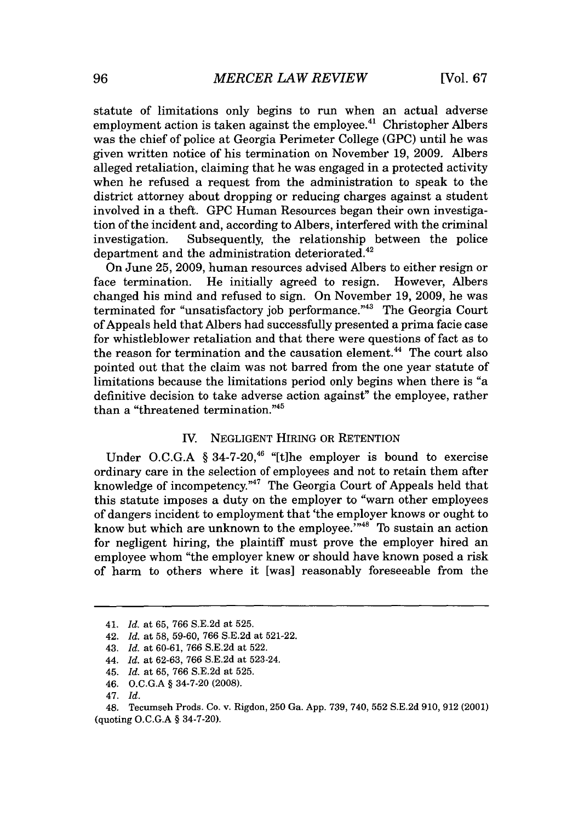statute of limitations only begins to run when an actual adverse employment action is taken against the employee.<sup>41</sup> Christopher Albers was the chief of police at Georgia Perimeter College **(GPC)** until he was given written notice of his termination on November **19, 2009.** Albers alleged retaliation, claiming that he was engaged in a protected activity when he refused a request from the administration to speak to the district attorney about dropping or reducing charges against a student involved in a theft. **GPC** Human Resources began their own investigation of the incident and, according to Albers, interfered with the criminal investigation. Subsequently, the relationship between the police department and the administration deteriorated.<sup>42</sup>

On June **25, 2009,** human resources advised Albers to either resign or face termination. He initially agreed to resign. However, Albers changed his mind and refused to sign. On November **19, 2009,** he was terminated for "unsatisfactory job performance."<sup>43</sup> The Georgia Court of Appeals held that Albers had successfully presented a prima facie case for whistleblower retaliation and that there were questions of fact as to the reason for termination and the causation element.<sup>44</sup> The court also pointed out that the claim was not barred from the one year statute of limitations because the limitations period only begins when there is "a definitive decision to take adverse action against" the employee, rather than a "threatened termination."

## *IV.* **NEGLIGENT** HIRING OR RETENTION

Under O.C.G.A § 34-7-20,<sup>46</sup> "[t]he employer is bound to exercise ordinary care in the selection of employees and not to retain them after knowledge of incompetency. $n_{47}$  The Georgia Court of Appeals held that this statute imposes a duty on the employer to "warn other employees of dangers incident to employment that 'the employer knows or ought to know but which are unknown to the employee.'"<sup>48</sup> To sustain an action for negligent hiring, the plaintiff must prove the employer hired an employee whom "the employer knew or should have known posed a risk of harm to others where it [was] reasonably foreseeable from the

<sup>41.</sup> *Id.* at **65, 766 S.E.2d** at **525.**

<sup>42.</sup> *Id.* at **58, 59-60, 766 S.E.2d** at **521-22.**

<sup>43.</sup> *Id.* at **60-61, 766 S.E.2d** at **522.**

*<sup>44.</sup> Id.* at **62-63, 766 S.E.2d** at 523-24.

<sup>45.</sup> *Id.* at **65, 766 S.E.2d** at **525.**

<sup>46.</sup> **O.C.G.A §** 34-7-20 **(2008).**

*<sup>47.</sup> Id.*

<sup>48.</sup> Tecumseh Prods. Co. v. Rigdon, **250** Ga. **App. 739,** 740, **552 S.E.2d 910, 912** (2001) (quoting **O.C.G.A §** 34-7-20).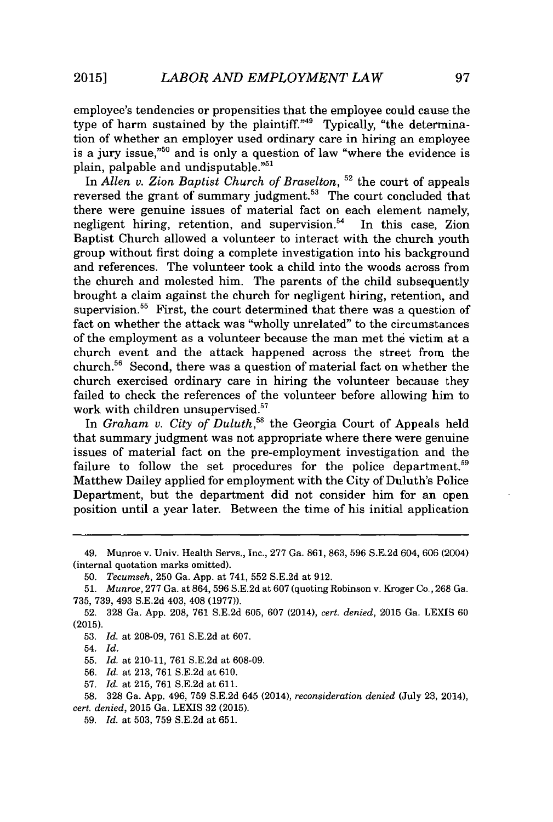employee's tendencies or propensities that the employee could cause the type of harm sustained by the plaintiff."<sup>49</sup> Typically, "the determination of whether an employer used ordinary care in hiring an employee is a jury issue, $10^{10}$  and is only a question of law "where the evidence is plain, palpable and undisputable."<sup>51</sup>

In *Allen v. Zion Baptist Church of Braselton,* **52** the court of appeals reversed the grant of summary judgment.<sup>53</sup> The court concluded that there were genuine issues of material fact on each element namely, negligent hiring, retention, and supervision.<sup>54</sup> In this case, Zion Baptist Church allowed a volunteer to interact with the church youth group without first doing a complete investigation into his background and references. The volunteer took a child into the woods across from the church and molested him. The parents of the child subsequently brought a claim against the church for negligent hiring, retention, and supervision.<sup>55</sup> First, the court determined that there was a question of fact on whether the attack was "wholly unrelated" to the circumstances of the employment as a volunteer because the man met the victim at a church event and the attack happened across the street from the church." Second, there was a question of material fact on whether the church exercised ordinary care in hiring the volunteer because they failed to check the references of the volunteer before allowing him to work with children unsupervised.<sup>57</sup>

In *Graham v. City of Duluth*,<sup>58</sup> the Georgia Court of Appeals held that summary judgment was not appropriate where there were genuine issues of material fact on the pre-employment investigation and the failure to follow the set procedures for the police department.<sup>59</sup> Matthew Dailey applied for employment with the City of Duluth's Police Department, but the department did not consider him for an open position until a year later. Between the time of his initial application

**57.** *Id.* at **215, 761 S.E.2d** at **611.**

<sup>49.</sup> Munroe v. Univ. Health Servs., Inc., **277** Ga. **861, 863, 596 S.E.2d** 604, **606** (2004) (internal quotation marks omitted).

**<sup>50.</sup>** *Tecumseh,* **250** Ga. **App.** at 741, **552 S.E.2d** at **912.**

**<sup>51.</sup>** *Munroe,* **277** Ga. at **864, 596 S.E.2d** at **607** (quoting Robinson v. Kroger Co., **268** Ga. **735, 739,** 493 **S.E.2d** 403, 408 **(1977)).**

**<sup>52. 328</sup>** Ga. **App. 208, 761 S.E.2d 605, 607** (2014), *cert. denied,* **2015** Ga. **LEXIS 60 (2015).**

**<sup>53.</sup>** *Id.* at **208-09, 761 S.E.2d** at **607.**

<sup>54.</sup> *Id.*

**<sup>55.</sup>** *Id.* at 210-11, **761 S.E.2d** at **608-09.**

**<sup>56.</sup>** *Id.* at **213, 761 S.E.2d** at **610.**

**<sup>58. 328</sup>** Ga. **App.** 496, **759 S.E.2d** 645 (2014), *reconsideration denied* **(July 23,** 2014), *cert. denied,* **2015** Ga. LEXIS **32 (2015).**

**<sup>59.</sup>** *Id.* at **503, 759 S.E.2d** at **651.**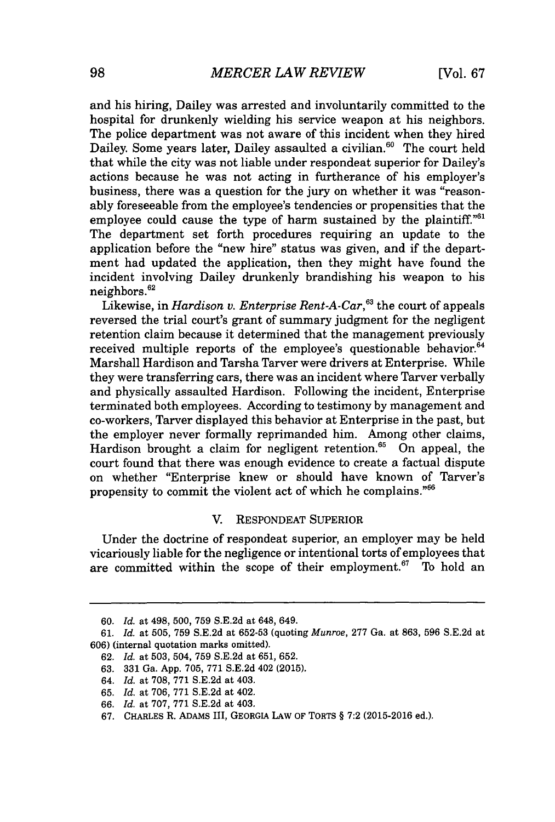and his hiring, Dailey was arrested and involuntarily committed to the hospital for drunkenly wielding his service weapon at his neighbors. The police department was not aware of this incident when they hired Dailey. Some years later, Dailey assaulted a civilian.<sup>60</sup> The court held that while the city was not liable under respondeat superior for Dailey's actions because he was not acting in furtherance of his employer's business, there was a question for the jury on whether it was "reasonably foreseeable from the employee's tendencies or propensities that the employee could cause the type of harm sustained by the plaintiff."<sup>61</sup> The department set forth procedures requiring an update to the application before the "new hire" status was given, and if the department had updated the application, then they might have found the incident involving Dailey drunkenly brandishing his weapon to his neighbors.<sup>62</sup>

Likewise, in *Hardison v. Enterprise Rent-A-Car*,<sup>63</sup> the court of appeals reversed the trial court's grant of summary judgment for the negligent retention claim because it determined that the management previously received multiple reports of the employee's questionable behavior. $64$ Marshall Hardison and Tarsha Tarver were drivers at Enterprise. While they were transferring cars, there was an incident where Tarver verbally and physically assaulted Hardison. Following the incident, Enterprise terminated both employees. According to testimony **by** management and co-workers, Tarver displayed this behavior at Enterprise in the past, but the employer never formally reprimanded him. Among other claims, Hardison brought a claim for negligent retention.<sup>65</sup> On appeal, the court found that there was enough evidence to create a factual dispute on whether "Enterprise knew or should have known of Tarver's propensity to commit the violent act of which he complains."<sup>66</sup>

## V. **RESPONDEAT** SUPERIOR

Under the doctrine of respondeat superior, an employer may be held vicariously liable for the negligence or intentional torts of employees that are committed within the scope of their employment.<sup>67</sup> To hold an

**<sup>60.</sup>** *Id.* at 498, **500, 759 S.E.2d** at 648, 649.

*<sup>61.</sup> Id.* at **505, 759 S.E.2d** at **652-53** (quoting *Munroe,* **277** *Ga. at* **863, 596 S.E.2d** at **606)** (internal quotation marks omitted).

**<sup>62.</sup>** *Id.* at **503,** 504, **759 S.E.2d** at **651, 652.**

**<sup>63. 331</sup>** Ga. **App. 705, 771 S.E.2d** 402 **(2015).**

*<sup>64.</sup> Id.* at **708, 771 S.E.2d** at 403.

**<sup>65.</sup>** *Id.* at **706, 771 S.E.2d** at 402.

*<sup>66.</sup> Id.* at **707, 771 S.E.2d** at 403.

**<sup>67.</sup>** CHARLES R. ADAMS III, GEORGIA LAW OF TORTS **§ 7:2 (2015-2016** ed.).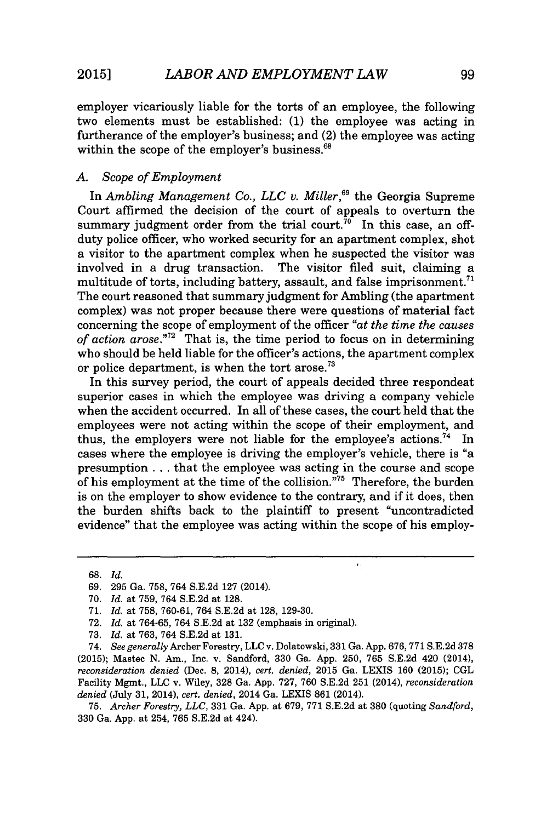employer vicariously liable for the torts of an employee, the following two elements must be established: **(1)** the employee was acting in furtherance of the employer's business; and (2) the employee was acting within the scope of the employer's business.<sup>68</sup>

## *A. Scope of Employment*

In *Ambling Management Co., LLC v. Miller,"* the Georgia Supreme Court affirmed the decision of the court of appeals to overturn the summary judgment order from the trial court.<sup> $70^\circ$ </sup> In this case, an offduty police officer, who worked security for an apartment complex, shot a visitor to the apartment complex when he suspected the visitor was involved in a drug transaction. The visitor filed suit, claiming a The visitor filed suit, claiming a multitude of torts, including battery, assault, and false imprisonment.<sup>71</sup> The court reasoned that summary judgment for Ambling (the apartment complex) was not proper because there were questions of material fact concerning the scope of employment of the officer *"at the time the causes of action arose."<sup>72</sup>*That is, the time period to focus on in determining who should be held liable for the officer's actions, the apartment complex or police department, is when the tort arose.<sup>73</sup>

In this survey period, the court of appeals decided three respondeat superior cases in which the employee was driving a company vehicle when the accident occurred. In all of these cases, the court held that the employees were not acting within the scope of their employment, and thus, the employers were not liable for the employee's actions.<sup>74</sup> In cases where the employee is driving the employer's vehicle, there is "a presumption **.** . **.** that the employee was acting in the course and scope of his employment at the time of the collision."<sup>75</sup> Therefore, the burden is on the employer to show evidence to the contrary, and if it does, then the burden shifts back to the plaintiff to present "uncontradicted evidence" that the employee was acting within the scope of his employ-

 $\ddot{\phantom{a}}$ 

**68.** *Id.*

**75.** *Archer Forestry, LLC,* **331** Ga. **App.** at **679, 771 S.E.2d** at **380** (quoting *Sandford,* **330** Ga. **App.** at 254, **765 S.E.2d** at 424).

**<sup>69. 295</sup>** Ga. **758,** 764 **S.E.2d 127** (2014).

**<sup>70.</sup>** *Id. at* **759,** 764 **S.E.2d** at **128.**

**<sup>71.</sup>** *Id. at* **758, 760-61,** 764 **S.E.2d** at **128, 129-30.**

**<sup>72.</sup>** *Id. at* **764-65,** 764 **S.E.2d** at **132** (emphasis in original).

**<sup>73.</sup>** *Id. at* **763,** 764 **S.E.2d** at **131.**

<sup>74.</sup> *See generally* Archer Forestry, **LLC** v. Dolatowski, **331** Ga. **App. 676, 771 S.E.2d 378 (2015);** Mastec **N.** Am., Inc. v. Sandford, **330** Ga. **App. 250, 765 S.E.2d** 420 (2014), *reconsideration denied* (Dec. **8,** 2014), *cert. denied,* **2015** Ga. LEXIS **160 (2015); CGL** Facility Mgmt., **LLC** v. Wiley, **328** Ga. **App. 727, 760 S.E.2d 251** (2014), *reconsideration denied* (July **31,** 2014), *cert. denied,* 2014 Ga. LEXIS **861** (2014).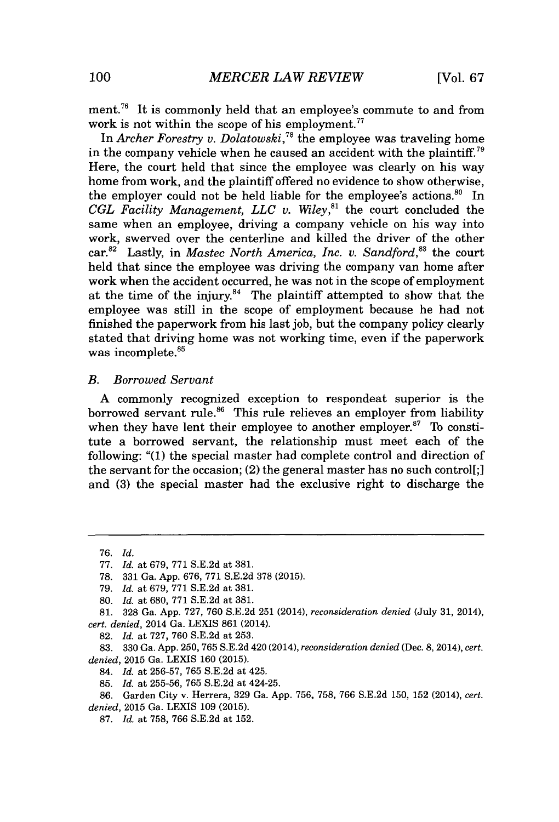ment.<sup>76</sup> It is commonly held that an employee's commute to and from work is not within the scope of his employment. $77$ 

In *Archer Forestry v. Dolatowski*,<sup>78</sup> the employee was traveling home in the company vehicle when he caused an accident with the plaintiff.<sup>79</sup> Here, the court held that since the employee was clearly on his way home from work, and the plaintiff offered no evidence to show otherwise, the employer could not be held liable for the employee's actions.<sup>80</sup> In *CGL Facility Management, LLC v. Wiley,"'* the court concluded the same when an employee, driving a company vehicle on his way into work, swerved over the centerline and killed the driver of the other car.<sup>82</sup> Lastly, in *Mastec North America, Inc. v. Sandford*<sup>83</sup> the court held that since the employee was driving the company van home after work when the accident occurred, he was not in the scope of employment at the time of the injury.<sup>84</sup> The plaintiff attempted to show that the employee was still in the scope of employment because he had not finished the paperwork from his last **job,** but the company policy clearly stated that driving home was not working time, even if the paperwork was incomplete.<sup>85</sup>

## *B. Borrowed Servant*

**A** commonly recognized exception to respondeat superior is the borrowed servant rule.<sup>86</sup> This rule relieves an employer from liability when they have lent their employee to another employer.<sup>87</sup> To constitute a borrowed servant, the relationship must meet each of the following: **"(1)** the special master had complete control and direction of the servant for the occasion; (2) the general master has no such control[;] and **(3)** the special master had the exclusive right to discharge the

*<sup>76.</sup> Id.*

**<sup>77.</sup>** *Id. at 679,* **771 S.E.2d** *at* **381.**

**<sup>78. 331</sup>** Ga. **App. 676, 771 S.E.2d 378 (2015).**

*<sup>79.</sup> Id. at 679,* **771 S.E.2d** at **381.**

**<sup>80.</sup>** *Id. at* **680, 771 S.E.2d** at **381.**

**<sup>81. 328</sup>** Ga. **App. 727, 760 S.E.2d 251** (2014), *reconsideration denied* (July **31,** 2014), *cert. denied,* 2014 Ga. LEXIS **861** (2014).

**<sup>82.</sup>** *Id. at* **727, 760 S.E.2d** at **253.**

**<sup>83. 330</sup>** Ga. **App.** 250, **765 S.E.2d 420** (2014), *reconsideration denied* (Dec. 8, 2014), *cert. denied,* **2015** Ga. LEXIS **160 (2015).**

<sup>84.</sup> *Id. at* **256-57, 765 S.E.2d** at 425.

**<sup>85.</sup>** *Id. at* **255-56, 765 S.E.2d** at 424-25.

**<sup>86.</sup>** Garden City v. Herrera, **329** Ga. **App. 756, 758, 766 S.E.2d 150, 152** (2014), *cert. denied,* **2015** Ga. **LEXIS 109 (2015).**

**<sup>87.</sup>** *Id. at* **758, 766 S.E.2d** at **152.**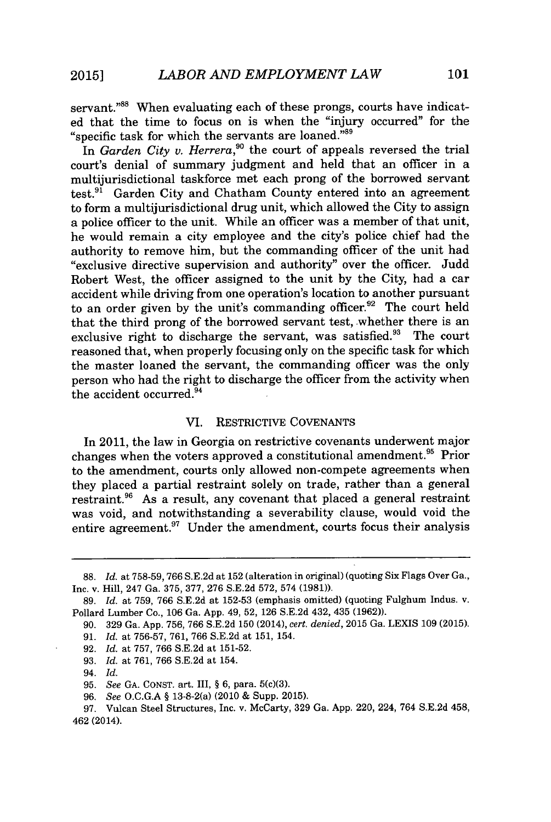servant."<sup>88</sup> When evaluating each of these prongs, courts have indicated that the time to focus on is when the "injury occurred" for the "specific task for which the servants are loaned."<sup>89</sup>

In *Garden City v. Herrera,"o* the court of appeals reversed the trial court's denial of summary judgment and held that an officer in a multijurisdictional taskforce met each prong of the borrowed servant test. $9^1$  Garden City and Chatham County entered into an agreement to form a multijurisdictional drug unit, which allowed the City to assign a police officer to the unit. While an officer was a member of that unit, he would remain a city employee and the city's police chief had the authority to remove him, but the commanding officer of the unit had "exclusive directive supervision and authority" over the officer. Judd Robert West, the officer assigned to the unit **by** the City, had a car accident while driving from one operation's location to another pursuant to an order given by the unit's commanding officer.<sup>92</sup> The court held that the third prong of the borrowed servant test, whether there is an exclusive right to discharge the servant, was satisfied.<sup>93</sup> The court reasoned that, when properly focusing only on the specific task for which the master loaned the servant, the commanding officer was the only person who had the right to discharge the officer from the activity when the accident occurred.<sup>94</sup>

### VI. RESTRICTIVE **COVENANTS**

In 2011, the law in Georgia on restrictive covenants underwent major changes when the voters approved a constitutional amendment.<sup>95</sup> Prior to the amendment, courts only allowed non-compete agreements when they placed a partial restraint solely on trade, rather than a general restraint.<sup>96</sup> As a result, any covenant that placed a general restraint was void, and notwithstanding a severability clause, would void the entire agreement.<sup>97</sup> Under the amendment, courts focus their analysis

**93.** *Id.* at **761, 766 S.E.2d** at 154.

**<sup>88.</sup>** *Id.* at **758-59, 766 S.E.2d** at **152** (alteration in original) (quoting Six Flags Over Ga., Inc. v. Hill, 247 Ga. **375, 377, 276 S.E.2d 572,** 574 **(1981)).**

**<sup>89.</sup>** *Id.* at **759, 766 S.E.2d** at **152-53** (emphasis omitted) (quoting **Fulghum** Indus. v. Pollard Lumber Co., **106** Ga. **App.** 49, **52, 126 S.E.2d** 432, 435 **(1962)).**

**<sup>90. 329</sup>** Ga. **App. 756, 766 S.E.2d 150** (2014), *cert. denied,* **2015** Ga. LEXIS **109 (2015). 91.** *Id.* at **756-57, 761, 766 S.E.2d** at **151,** 154.

**<sup>92.</sup>** *Id.* at **757, 766 S.E.2d** at **151-52.**

<sup>94.</sup> *Id.*

**<sup>95.</sup>** *See* **GA. CONST.** art. III, *§* **6,** para. 5(c)(3).

**<sup>96.</sup>** *See* **O.C.G.A §** 13-8-2(a) (2010 **&** Supp. **2015).**

**<sup>97.</sup>** Vulcan Steel Structures, Inc. v. McCarty, **329** Ga. **App.** 220, 224, 764 **S.E.2d** 458, 462 (2014).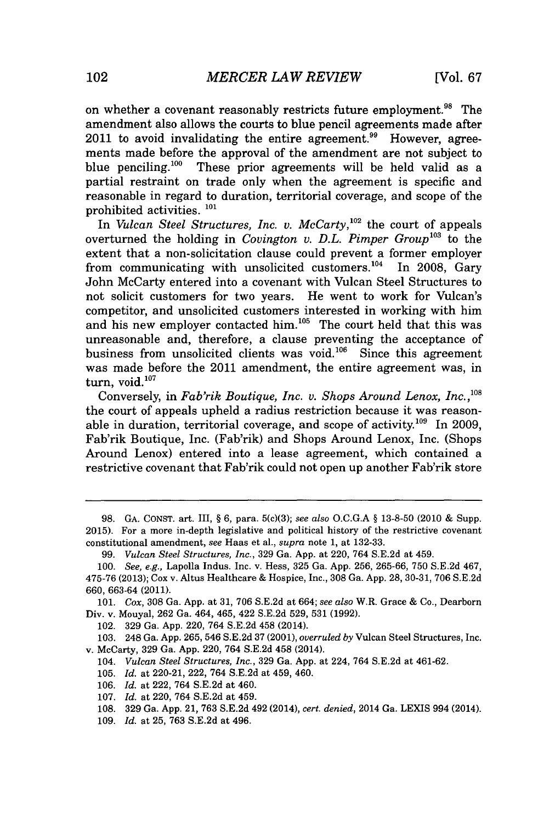on whether a covenant reasonably restricts future employment.<sup>98</sup> The amendment also allows the courts to blue pencil agreements made after  $2011$  to avoid invalidating the entire agreement.<sup>99</sup> However, agreements made before the approval of the amendment are not subject to blue penciling.<sup>100</sup> These prior agreements will be held valid as a partial restraint on trade only when the agreement is specific and reasonable in regard to duration, territorial coverage, and scope of the prohibited activities. **<sup>101</sup>**

In *Vulcan Steel Structures, Inc. v. McCarty*,<sup>102</sup> the court of appeals overturned the holding in *Covington v. D.L. Pimper Group*<sup>103</sup> to the extent that a non-solicitation clause could prevent a former employer from communicating with unsolicited customers.'<sup>0</sup>4 In **2008,** Gary John McCarty entered into a covenant with Vulcan Steel Structures to not solicit customers for two years. He went to work for Vulcan's competitor, and unsolicited customers interested in working with him and his new employer contacted him.<sup>105</sup> The court held that this was unreasonable and, therefore, a clause preventing the acceptance of business from unsolicited clients was void.<sup>106</sup> Since this agreement was made before the 2011 amendment, the entire agreement was, in turn, void.<sup>107</sup>

Conversely, in *Fab'rik Boutique, Inc. v. Shops Around Lenox, Inc.,'* the court of appeals upheld a radius restriction because it was reasonable in duration, territorial coverage, and scope of activity.<sup>109</sup> In 2009. Fab'rik Boutique, Inc. (Fab'rik) and Shops Around Lenox, Inc. (Shops Around Lenox) entered into a lease agreement, which contained a restrictive covenant that Fab'rik could not open up another Fab'rik store

102. **329** Ga. **App.** 220, 764 **S.E.2d** 458 (2014).

**103.** 248 Ga. **App. 265,** 546 **S.E.2d 37** (2001), *overruled by* Vulcan Steel Structures, Inc. v. McCarty, **329** Ga. **App.** 220, 764 **S.E.2d** 458 (2014).

104. *Vulcan Steel Structures, Inc.,* **329** Ga. **App.** at 224, 764 **S.E.2d** at 461-62.

**105.** *Id.* at 220-21, 222, 764 **S.E.2d** at 459, 460.

- **106.** *Id.* at 222, 764 **S.E.2d** at 460.
- **107.** *Id.* at 220, 764 **S.E.2d** at 459.
- **108. 329** Ga. **App.** 21, **763 S.E.2d** 492 (2014), *cert. denied,* 2014 Ga. LEXIS 994 (2014).
- **109.** *Id.* at **25, 763 S.E.2d** at 496.

**<sup>98.</sup> GA. CONST.** art. III, **§ 6,** para. 5(c)(3); *see also* **O.C.G.A § 13-8-50** (2010 **&** Supp. **2015).** For a more in-depth legislative and political history of the restrictive covenant constitutional amendment, *see* Haas et al., *supra* note **1,** at **132-33.**

**<sup>99.</sup>** *Vulcan Steel Structures, Inc.,* **329** Ga. **App.** at 220, 764 **S.E.2d** at 459.

*<sup>100.</sup> See, e.g.,* Lapolla Indus. Inc. v. Hess, **325** Ga. **App. 256, 265-66, 750 S.E.2d** 467, **475-76 (2013);** Cox v. Altus Healthcare **&** Hospice, Inc., **308** Ga. **App. 28, 30-31, 706 S.E.2d 660, 663-64** (2011).

*<sup>101.</sup> Cox,* **308** Ga. **App.** at **31, 706 S.E.2d** *at 664; see also* W.R. Grace **&** Co., Dearborn Div. v. Mouyal, **262** Ga. 464, 465, 422 **S.E.2d 529, 531 (1992).**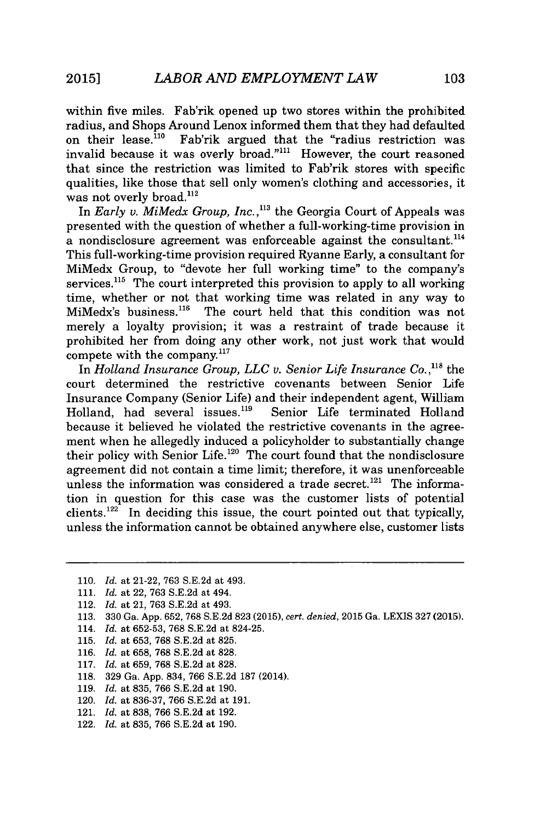within five miles. Fab'rik opened up two stores within the prohibited radius, and Shops Around Lenox informed them that they had defaulted<br>on their lease <sup>110</sup> Fab'rik argued that the "radius restriction was Fab'rik argued that the "radius restriction was invalid because it was overly broad."<sup>111</sup> However, the court reasoned that since the restriction was limited to Fab'rik stores with specific qualities, like those that sell only women's clothing and accessories, it was not overly broad. $^{112}$ 

In *Early v. MiMedx Group, Inc.*,<sup>113</sup> the Georgia Court of Appeals was presented with the question of whether a full-working-time provision in a nondisclosure agreement was enforceable against the consultant.<sup>114</sup> This full-working-time provision required Ryanne Early, a consultant for MiMedx Group, to "devote her full working time" to the company's services.<sup>115</sup> The court interpreted this provision to apply to all working time, whether or not that working time was related in any way to MiMedx's business.<sup>116</sup> The court held that this condition was not merely a loyalty provision; it was a restraint of trade because it prohibited her from doing any other work, not just work that would compete with the company. $117$ 

In *Holland Insurance Group, LLC v. Senior Life Insurance Co.*, <sup>118</sup> the court determined the restrictive covenants between Senior Life Insurance Company (Senior Life) and their independent agent, William<br>Holland, had several issues.<sup>119</sup> Senior Life terminated Holland Holland, had several issues.<sup>119</sup> because it believed he violated the restrictive covenants in the agreement when he allegedly induced a policyholder to substantially change their policy with Senior Life. $120$  The court found that the nondisclosure agreement did not contain a time limit; therefore, it was unenforceable unless the information was considered a trade secret.<sup>121</sup> The information in question for this case was the customer lists of potential clients.<sup>122</sup> In deciding this issue, the court pointed out that typically, unless the information cannot be obtained anywhere else, customer lists

- 112. *Id.* at 21, **763 S.E.2d** at 493.
- **113. 330** Ga. **App. 652, 768 S.E.2d 823 (2015),** *cert. denied,* **2015** Ga. **LEXIS 327 (2015).**
- 114. *Id. at* **652-53, 768 S.E.2d** at 824-25.
- **115.** *Id. at* **653, 768 S.E.2d** at **825.**
- **116.** *Id. at* **658, 768 S.E.2d** at **828.**
- **117.** *Id. at* **659, 768 S.E.2d** at **828.**
- **118. 329** Ga. **App.** 834, **766 S.E.2d 187** (2014).
- **119.** *Id.* at **835, 766 S.E.2d** at **190.**
- 120. *Id.* at **836-37, 766 S.E.2d** at **191.**
- 121. *Id.* at **838, 766 S.E.2d** at **192.**
- 122. *Id.* at **835, 766 S.E.2d** at **190.**

**<sup>110.</sup>** *Id.* at 21-22, **763 S.E.2d** at 493.

**<sup>111.</sup>** *Id.* at 22, **763 S.E.2d** at 494.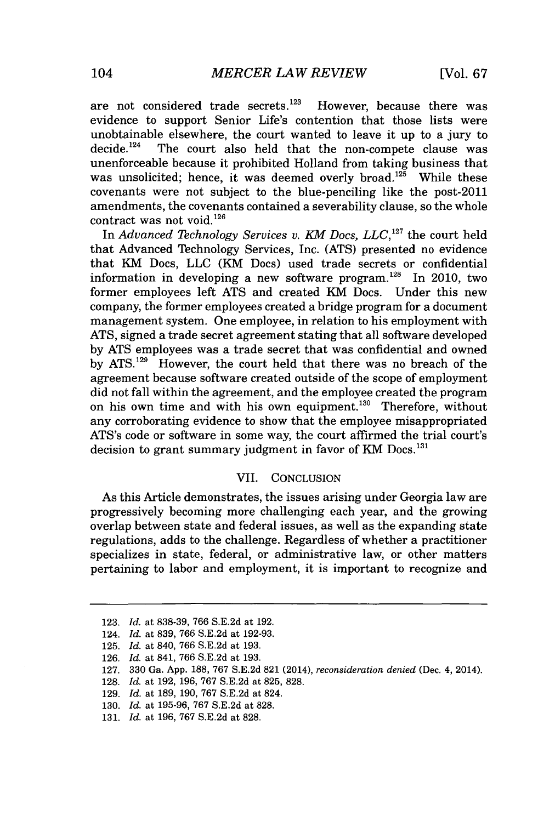are not considered trade secrets.<sup>123</sup> However, because there was evidence to support Senior Life's contention that those lists were unobtainable elsewhere, the court wanted to leave it up to a jury to decide.<sup>124</sup> The court also held that the non-compete clause was The court also held that the non-compete clause was unenforceable because it prohibited Holland from taking business that was unsolicited; hence, it was deemed overly broad. $125$  While these covenants were not subject to the blue-penciling like the post-2011 amendments, the covenants contained a severability clause, so the whole contract was not void.<sup>126</sup>

In *Advanced Technology Services v. KM Docs, LLC, <sup>12</sup>7* the court held that Advanced Technology Services, Inc. **(ATS)** presented no evidence that KM Does, **LLC** (KM Does) used trade secrets or confidential information in developing a new software program.<sup>128</sup> In 2010, two former employees left **ATS** and created KM Does. Under this new company, the former employees created a bridge program for a document management system. One employee, in relation to his employment with **ATS,** signed a trade secret agreement stating that all software developed **by ATS** employees was a trade secret that was confidential and owned by ATS.<sup>129</sup> However, the court held that there was no breach of the agreement because software created outside of the scope of employment did not fall within the agreement, and the employee created the program on his own time and with his own equipment.<sup>130</sup> Therefore, without any corroborating evidence to show that the employee misappropriated ATS's code or software in some way, the court affirmed the trial court's decision to grant summary judgment in favor of KM Docs.<sup>131</sup>

## VII. **CONCLUSION**

As this Article demonstrates, the issues arising under Georgia law are progressively becoming more challenging each year, and the growing overlap between state and federal issues, as well as the expanding state regulations, adds to the challenge. Regardless of whether a practitioner specializes in state, federal, or administrative law, or other matters pertaining to labor and employment, it is important to recognize and

- **129.** *Id. at* **189, 190, 767 S.E.2d** at 824.
- **130.** *Id. at* **195-96, 767 S.E.2d** at **828.**

**<sup>123.</sup>** *Id. at* **838-39, 766 S.E.2d** *at* **192.**

<sup>124.</sup> *Id. at* **839, 766 S.E.2d** *at* **192-93.**

**<sup>125.</sup>** *Id. at* 840, **766 S.E.2d** *at* **193.**

**<sup>126.</sup>** *Id. at* 841, **766 S.E.2d** *at* **193.**

**<sup>127. 330</sup>** Ga. **App. 188, 767 S.E.2d 821** (2014), *reconsideration denied* (Dec. 4, 2014).

**<sup>128.</sup>** *Id. at* **192, 196, 767 S.E.2d** at **825, 828.**

**<sup>131.</sup>** *Id. at* **196, 767 S.E.2d** at **828.**